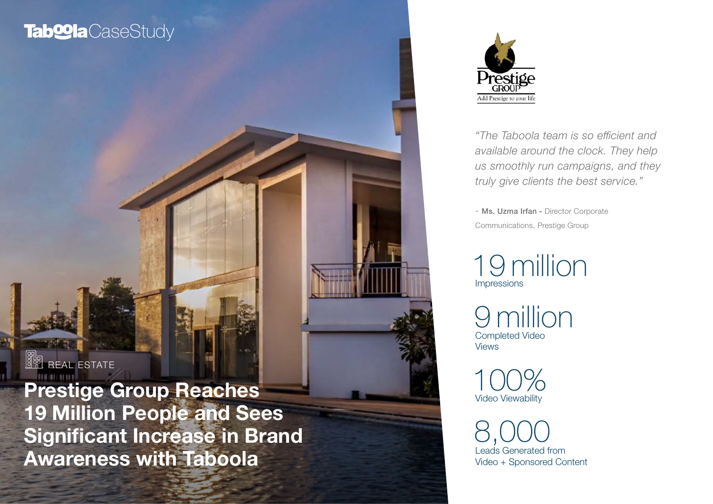# **Tab@la**CaseStudy



*"The Taboola team is so efficient and available around the clock. They help us smoothly run campaigns, and they truly give clients the best service."* 

*-* Ms. Uzma Irfan - Director Corporate Communications, Prestige Group

Impressions 19 million

Completed Video Views 9 million

Video Viewability 100%

Leads Generated from Video + Sponsored Content 8,000

**REAL ESTATE** 

Prestige Group Reaches 19 Million People and Sees Significant Increase in Brand Awareness with Taboola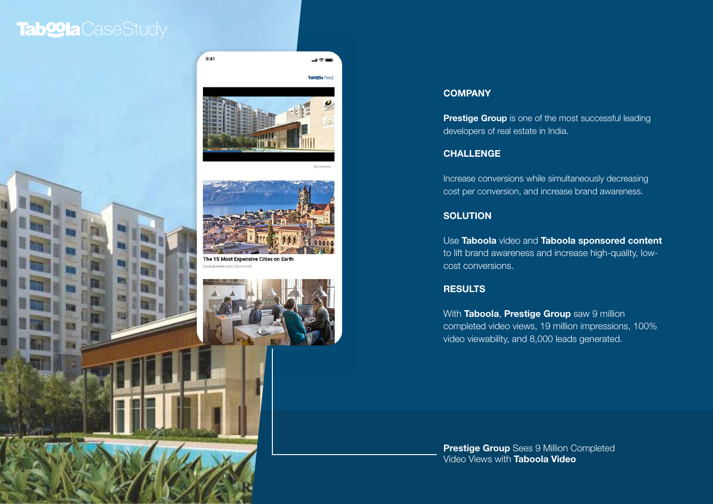## Tab**<sup>o</sup>la** CaseStudy





 $\mathbf{d}$ 

**Sponsor** 



### **COMPANY**

**Prestige Group** is one of the most successful leading developers of real estate in India.

### **CHALLENGE**

Increase conversions while simultaneously decreasing cost per conversion, and increase brand awareness.

### **SOLUTION**

Use Taboola video and Taboola sponsored content to lift brand awareness and increase high-quality, lowcost conversions.

### **RESULTS**

With Taboola, Prestige Group saw 9 million completed video views, 19 million impressions, 100% video viewability, and 8,000 leads generated.

**Prestige Group** Sees 9 Million Completed Video Views with Taboola Video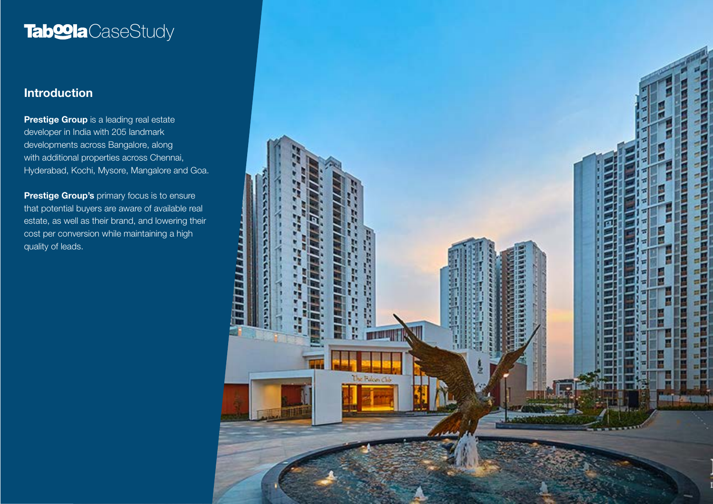# Tab**<sup>o</sup>la** CaseStudy

## Introduction

**Prestige Group** is a leading real estate developer in India with 205 landmark developments across Bangalore, along with additional properties across Chennai, Hyderabad, Kochi, Mysore, Mangalore and Goa.

**Prestige Group's** primary focus is to ensure that potential buyers are aware of available real estate, as well as their brand, and lowering their cost per conversion while maintaining a high quality of leads.